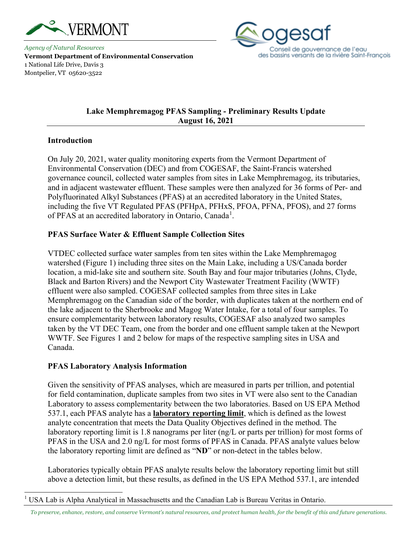

*Agency of Natural Resources* **Vermont Department of Environmental Conservation** 1 National Life Drive, Davis 3 Montpelier, VT 05620-3522



## **Lake Memphremagog PFAS Sampling - Preliminary Results Update August 16, 2021**

### **Introduction**

On July 20, 2021, water quality monitoring experts from the Vermont Department of Environmental Conservation (DEC) and from COGESAF, the Saint-Francis watershed governance council, collected water samples from sites in Lake Memphremagog, its tributaries, and in adjacent wastewater effluent. These samples were then analyzed for 36 forms of Per- and Polyfluorinated Alkyl Substances (PFAS) at an accredited laboratory in the United States, including the five VT Regulated PFAS (PFHpA, PFHxS, PFOA, PFNA, PFOS), and 27 forms of PFAS at an accredited laboratory in Ontario, Canada<sup>[1](#page-0-0)</sup>.

# **PFAS Surface Water & Effluent Sample Collection Sites**

VTDEC collected surface water samples from ten sites within the Lake Memphremagog watershed (Figure 1) including three sites on the Main Lake, including a US/Canada border location, a mid-lake site and southern site. South Bay and four major tributaries (Johns, Clyde, Black and Barton Rivers) and the Newport City Wastewater Treatment Facility (WWTF) effluent were also sampled. COGESAF collected samples from three sites in Lake Memphremagog on the Canadian side of the border, with duplicates taken at the northern end of the lake adjacent to the Sherbrooke and Magog Water Intake, for a total of four samples. To ensure complementarity between laboratory results, COGESAF also analyzed two samples taken by the VT DEC Team, one from the border and one effluent sample taken at the Newport WWTF. See Figures 1 and 2 below for maps of the respective sampling sites in USA and Canada.

### **PFAS Laboratory Analysis Information**

Given the sensitivity of PFAS analyses, which are measured in parts per trillion, and potential for field contamination, duplicate samples from two sites in VT were also sent to the Canadian Laboratory to assess complementarity between the two laboratories. Based on US EPA Method 537.1, each PFAS analyte has a **laboratory reporting limit**, which is defined as the lowest analyte concentration that meets the Data Quality Objectives defined in the method. The laboratory reporting limit is 1.8 nanograms per liter (ng/L or parts per trillion) for most forms of PFAS in the USA and 2.0 ng/L for most forms of PFAS in Canada. PFAS analyte values below the laboratory reporting limit are defined as "**ND**" or non-detect in the tables below.

Laboratories typically obtain PFAS analyte results below the laboratory reporting limit but still above a detection limit, but these results, as defined in the US EPA Method 537.1, are intended

<span id="page-0-0"></span><sup>1</sup> USA Lab is Alpha Analytical in Massachusetts and the Canadian Lab is Bureau Veritas in Ontario.

*To preserve, enhance, restore, and conserve Vermont's natural resources, and protect human health, for the benefit of this and future generations.*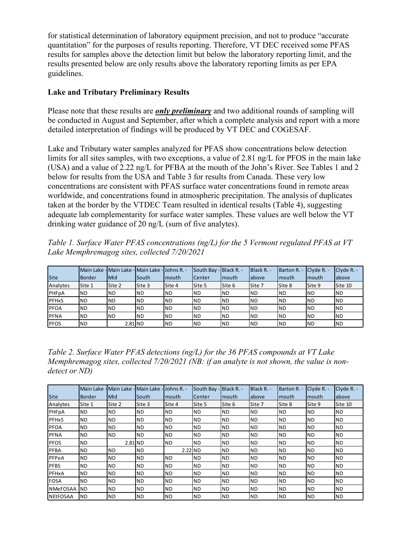for statistical determination of laboratory equipment precision, and not to produce "accurate quantitation" for the purposes of results reporting. Therefore, VT DEC received some PFAS results for samples above the detection limit but below the laboratory reporting limit, and the results presented below are only results above the laboratory reporting limits as per EPA guidelines.

## **Lake and Tributary Preliminary Results**

Please note that these results are *only preliminary* and two additional rounds of sampling will be conducted in August and September, after which a complete analysis and report with a more detailed interpretation of findings will be produced by VT DEC and COGESAF.

Lake and Tributary water samples analyzed for PFAS show concentrations below detection limits for all sites samples, with two exceptions, a value of 2.81 ng/L for PFOS in the main lake (USA) and a value of 2.22 ng/L for PFBA at the mouth of the John's River. See Tables 1 and 2 below for results from the USA and Table 3 for results from Canada. These very low concentrations are consistent with PFAS surface water concentrations found in remote areas worldwide, and concentrations found in atmospheric precipitation. The analysis of duplicates taken at the border by the VTDEC Team resulted in identical results (Table 4), suggesting adequate lab complementarity for surface water samples. These values are well below the VT drinking water guidance of 20 ng/L (sum of five analytes).

*Table 1. Surface Water PFAS concentrations (ng/L) for the 5 Vermont regulated PFAS at VT Lake Memphremagog sites, collected 7/20/2021*

|              |               |            | IMain Lake - Main Lake - Main Lake - JJohns R. - |            | South Bay - Black R. - |           | Black R. - | Barton R. - $Clyde R. -$ |                | Clyde R. - |
|--------------|---------------|------------|--------------------------------------------------|------------|------------------------|-----------|------------|--------------------------|----------------|------------|
| Site         | <b>Border</b> | Mid        | <b>South</b>                                     | mouth      | Center                 | Imouth    | labove     | <b>Imouth</b>            | <b>I</b> mouth | above      |
| Analytes     | Site 1        | Site 2     | Site 3                                           | Site 4     | Site 5                 | Site 6    | Site 7     | Site 8                   | <b>Site 9</b>  | Site 10    |
| PHFpA        | <b>ND</b>     | <b>ND</b>  | <b>ND</b>                                        | <b>ND</b>  | <b>ND</b>              | <b>ND</b> | IND        | <b>ND</b>                | IND            | <b>IND</b> |
| <b>PFHxS</b> | <b>ND</b>     | <b>ND</b>  | <b>ND</b>                                        | <b>ND</b>  | <b>ND</b>              | <b>ND</b> | IND        | <b>ND</b>                | IND            | <b>IND</b> |
| <b>PFOA</b>  | 'ND           | <b>IND</b> | <b>ND</b>                                        | <b>ND</b>  | <b>ND</b>              | <b>ND</b> | IND        | <b>ND</b>                | IND            | <b>IND</b> |
| <b>PFNA</b>  | <b>ND</b>     | <b>ND</b>  | <b>ND</b>                                        | <b>ND</b>  | <b>ND</b>              | <b>ND</b> | IND        | <b>ND</b>                | <b>IND</b>     | <b>IND</b> |
| <b>PFOS</b>  | <b>ND</b>     | $2.81$ ND  |                                                  | <b>IND</b> | <b>ND</b>              | <b>ND</b> | IND        | <b>ND</b>                | IND            | <b>IND</b> |

*Table 2. Surface Water PFAS detections (ng/L) for the 36 PFAS compounds at VT Lake Memphremagog sites, collected 7/20/2021 (NB: if an analyte is not shown, the value is nondetect or ND)*

|                 | Main Lake - Main Lake |           | - Main Lake - Johns R. - |           | South Bay - Black R. - |               | Black R. - | Barton R. - | Clyde R. - | Clyde R. - |
|-----------------|-----------------------|-----------|--------------------------|-----------|------------------------|---------------|------------|-------------|------------|------------|
| Site            | <b>Border</b>         | Mid       | South                    | mouth     | Center                 | <b>Imouth</b> | above      | mouth       | mouth      | above      |
| Analytes        | Site 1                | Site 2    | Site 3                   | Site 4    | Site 5                 | Site 6        | Site 7     | Site 8      | Site 9     | Site 10    |
| PHFpA           | ND.                   | <b>ND</b> | <b>ND</b>                | <b>ND</b> | <b>ND</b>              | <b>ND</b>     | IND        | ND.         | IND.       | <b>ND</b>  |
| PFHxS           | ND                    | ND.       | <b>ND</b>                | <b>ND</b> | <b>ND</b>              | <b>ND</b>     | ND)        | <b>ND</b>   | <b>ND</b>  | <b>ND</b>  |
| <b>PFOA</b>     | ND.                   | <b>ND</b> | <b>ND</b>                | <b>ND</b> | <b>ND</b>              | <b>ND</b>     | IND        | <b>ND</b>   | IND.       | <b>ND</b>  |
| <b>PFNA</b>     | ND.                   | <b>ND</b> | <b>ND</b>                | <b>ND</b> | <b>ND</b>              | <b>ND</b>     | ND)        | <b>ND</b>   | IND.       | <b>ND</b>  |
| <b>PFOS</b>     | ND.                   | $2.81$ ND |                          | <b>ND</b> | <b>ND</b>              | <b>ND</b>     | IND        | <b>ND</b>   | <b>ND</b>  | <b>ND</b>  |
| PFBA            | ND.                   | <b>ND</b> | <b>ND</b>                | $2.22$ ND |                        | <b>ND</b>     | IND        | <b>ND</b>   | <b>ND</b>  | <b>ND</b>  |
| PFPeA           | ND.                   | <b>ND</b> | <b>ND</b>                | <b>ND</b> | <b>ND</b>              | <b>ND</b>     | <b>IND</b> | <b>ND</b>   | <b>ND</b>  | <b>ND</b>  |
| <b>PFBS</b>     | ND.                   | ND.       | <b>ND</b>                | <b>ND</b> | <b>ND</b>              | <b>ND</b>     | <b>IND</b> | <b>ND</b>   | <b>ND</b>  | <b>ND</b>  |
| PFHxA           | ND.                   | ND.       | <b>ND</b>                | <b>ND</b> | <b>ND</b>              | <b>ND</b>     | <b>IND</b> | ND          | <b>ND</b>  | <b>ND</b>  |
| <b>FOSA</b>     | ND.                   | ND.       | <b>ND</b>                | <b>ND</b> | <b>ND</b>              | <b>ND</b>     | <b>IND</b> | <b>ND</b>   | <b>ND</b>  | <b>ND</b>  |
| <b>NMeFOSAA</b> | IND.                  | <b>ND</b> | <b>ND</b>                | <b>ND</b> | <b>ND</b>              | <b>ND</b>     | <b>IND</b> | <b>ND</b>   | IND.       | <b>ND</b>  |
| <b>NEtFOSAA</b> | <b>ND</b>             | <b>ND</b> | <b>ND</b>                | <b>ND</b> | IND.                   | <b>ND</b>     | <b>IND</b> | <b>ND</b>   | IND        | IND.       |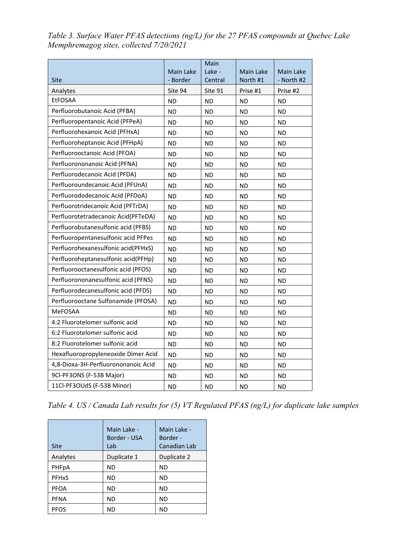|                                     | <b>Main Lake</b> | Main<br>Lake - | Main Lake | Main Lake  |
|-------------------------------------|------------------|----------------|-----------|------------|
| <b>Site</b>                         | - Border         | Central        | North #1  | - North #2 |
| Analytes                            | Site 94          | Site 91        | Prise #1  | Prise #2   |
| <b>EtFOSAA</b>                      | <b>ND</b>        | <b>ND</b>      | <b>ND</b> | <b>ND</b>  |
| Perfluorobutanoic Acid (PFBA)       | <b>ND</b>        | <b>ND</b>      | <b>ND</b> | <b>ND</b>  |
| Perfluoropentanoic Acid (PFPeA)     | <b>ND</b>        | <b>ND</b>      | <b>ND</b> | <b>ND</b>  |
| Perfluorohexanoic Acid (PFHxA)      | ND               | ND             | <b>ND</b> | ND         |
| Perfluoroheptanoic Acid (PFHpA)     | <b>ND</b>        | <b>ND</b>      | <b>ND</b> | <b>ND</b>  |
| Perfluorooctanoic Acid (PFOA)       | <b>ND</b>        | <b>ND</b>      | <b>ND</b> | <b>ND</b>  |
| Perfluorononanoic Acid (PFNA)       | <b>ND</b>        | <b>ND</b>      | <b>ND</b> | <b>ND</b>  |
| Perfluorodecanoic Acid (PFDA)       | <b>ND</b>        | <b>ND</b>      | <b>ND</b> | <b>ND</b>  |
| Perfluoroundecanoic Acid (PFUnA)    | <b>ND</b>        | ND             | <b>ND</b> | <b>ND</b>  |
| Perfluorododecanoic Acid (PFDoA)    | <b>ND</b>        | <b>ND</b>      | <b>ND</b> | <b>ND</b>  |
| Perfluorotridecanoic Acid (PFTrDA)  | <b>ND</b>        | <b>ND</b>      | <b>ND</b> | <b>ND</b>  |
| Perfluorotetradecanoic Acid(PFTeDA) | <b>ND</b>        | ND             | <b>ND</b> | <b>ND</b>  |
| Perfluorobutanesulfonic acid (PFBS) | ΝD               | <b>ND</b>      | <b>ND</b> | <b>ND</b>  |
| Perfluoropentanesulfonic acid PFPes | ND.              | <b>ND</b>      | <b>ND</b> | <b>ND</b>  |
| Perfluorohexanesulfonic acid(PFHxS) | <b>ND</b>        | <b>ND</b>      | <b>ND</b> | <b>ND</b>  |
| Perfluoroheptanesulfonic acid(PFHp) | ΝD               | ND             | <b>ND</b> | ND         |
| Perfluorooctanesulfonic acid (PFOS) | <b>ND</b>        | <b>ND</b>      | <b>ND</b> | <b>ND</b>  |
| Perfluorononanesulfonic acid (PFNS) | <b>ND</b>        | <b>ND</b>      | <b>ND</b> | <b>ND</b>  |
| Perfluorodecanesulfonic acid (PFDS) | ND               | ND             | <b>ND</b> | ND         |
| Perfluorooctane Sulfonamide (PFOSA) | ΝD               | <b>ND</b>      | <b>ND</b> | ND         |
| <b>MeFOSAA</b>                      | <b>ND</b>        | <b>ND</b>      | <b>ND</b> | <b>ND</b>  |
| 4:2 Fluorotelomer sulfonic acid     | <b>ND</b>        | <b>ND</b>      | <b>ND</b> | <b>ND</b>  |
| 6:2 Fluorotelomer sulfonic acid     | ND               | ND             | <b>ND</b> | ND         |
| 8:2 Fluorotelomer sulfonic acid     | <b>ND</b>        | <b>ND</b>      | <b>ND</b> | <b>ND</b>  |
| Hexafluoropropyleneoxide Dimer Acid | ND.              | <b>ND</b>      | <b>ND</b> | <b>ND</b>  |
| 4,8-Dioxa-3H-Perfluorononanoic Acid | <b>ND</b>        | <b>ND</b>      | <b>ND</b> | <b>ND</b>  |
| 9Cl-PF3ONS (F-53B Major)            | <b>ND</b>        | <b>ND</b>      | <b>ND</b> | <b>ND</b>  |
| 11Cl-PF3OUdS (F-53B Minor)          | ND               | <b>ND</b>      | <b>ND</b> | <b>ND</b>  |

*Table 3. Surface Water PFAS detections (ng/L) for the 27 PFAS compounds at Quebec Lake Memphremagog sites, collected 7/20/2021*

*Table 4. US / Canada Lab results for (5) VT Regulated PFAS (ng/L) for duplicate lake samples* 

| Site                    | Main Lake -<br>Border - USA<br>Lab | Main Lake -<br>Border -<br>Canadian Lab |
|-------------------------|------------------------------------|-----------------------------------------|
| Analytes                | Duplicate 1                        | Duplicate 2                             |
| PHFpA                   | <b>ND</b>                          | ND                                      |
| <b>PFH<sub>x</sub>S</b> | <b>ND</b>                          | ND                                      |
| <b>PFOA</b>             | <b>ND</b>                          | ND                                      |
| <b>PFNA</b>             | <b>ND</b>                          | <b>ND</b>                               |
| <b>PFOS</b>             | <b>ND</b>                          | ΝD                                      |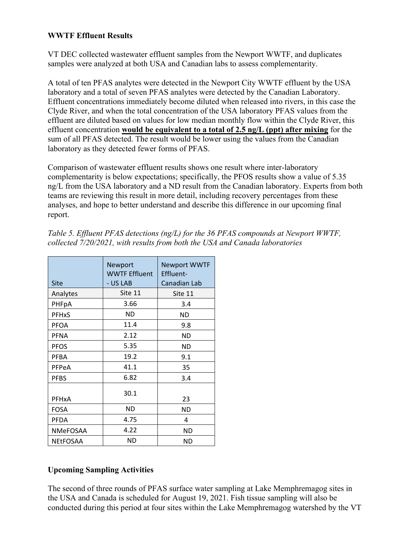#### **WWTF Effluent Results**

VT DEC collected wastewater effluent samples from the Newport WWTF, and duplicates samples were analyzed at both USA and Canadian labs to assess complementarity.

A total of ten PFAS analytes were detected in the Newport City WWTF effluent by the USA laboratory and a total of seven PFAS analytes were detected by the Canadian Laboratory. Effluent concentrations immediately become diluted when released into rivers, in this case the Clyde River, and when the total concentration of the USA laboratory PFAS values from the effluent are diluted based on values for low median monthly flow within the Clyde River, this effluent concentration **would be equivalent to a total of 2.5 ng/L (ppt) after mixing** for the sum of all PFAS detected. The result would be lower using the values from the Canadian laboratory as they detected fewer forms of PFAS.

Comparison of wastewater effluent results shows one result where inter-laboratory complementarity is below expectations; specifically, the PFOS results show a value of 5.35 ng/L from the USA laboratory and a ND result from the Canadian laboratory. Experts from both teams are reviewing this result in more detail, including recovery percentages from these analyses, and hope to better understand and describe this difference in our upcoming final report.

| Table 5. Effluent PFAS detections (ng/L) for the 36 PFAS compounds at Newport WWTF, |
|-------------------------------------------------------------------------------------|
| collected 7/20/2021, with results from both the USA and Canada laboratories         |

|                 | Newport<br><b>WWTF Effluent</b> | <b>Newport WWTF</b><br><b>Effluent-</b> |  |  |
|-----------------|---------------------------------|-----------------------------------------|--|--|
| <b>Site</b>     | - US LAB                        | Canadian Lab                            |  |  |
| Analytes        | Site 11                         | Site 11                                 |  |  |
| PHFpA           | 3.66                            | 3.4                                     |  |  |
| <b>PFHxS</b>    | ΝD                              | ΝD                                      |  |  |
| <b>PFOA</b>     | 11.4                            | 9.8                                     |  |  |
| <b>PFNA</b>     | 2.12                            | ΝD                                      |  |  |
| <b>PFOS</b>     | 5.35                            | <b>ND</b>                               |  |  |
| PFBA            | 19.2                            | 9.1                                     |  |  |
| PFPeA           | 41.1                            | 35                                      |  |  |
| <b>PFBS</b>     | 6.82                            | 3.4                                     |  |  |
| PFHxA           | 30.1                            | 23                                      |  |  |
| <b>FOSA</b>     | <b>ND</b>                       | <b>ND</b>                               |  |  |
| <b>PFDA</b>     | 4.75                            | 4                                       |  |  |
| <b>NMeFOSAA</b> | 4.22                            | ND                                      |  |  |
| NEtFOSAA        | <b>ND</b>                       | ND                                      |  |  |

### **Upcoming Sampling Activities**

The second of three rounds of PFAS surface water sampling at Lake Memphremagog sites in the USA and Canada is scheduled for August 19, 2021. Fish tissue sampling will also be conducted during this period at four sites within the Lake Memphremagog watershed by the VT